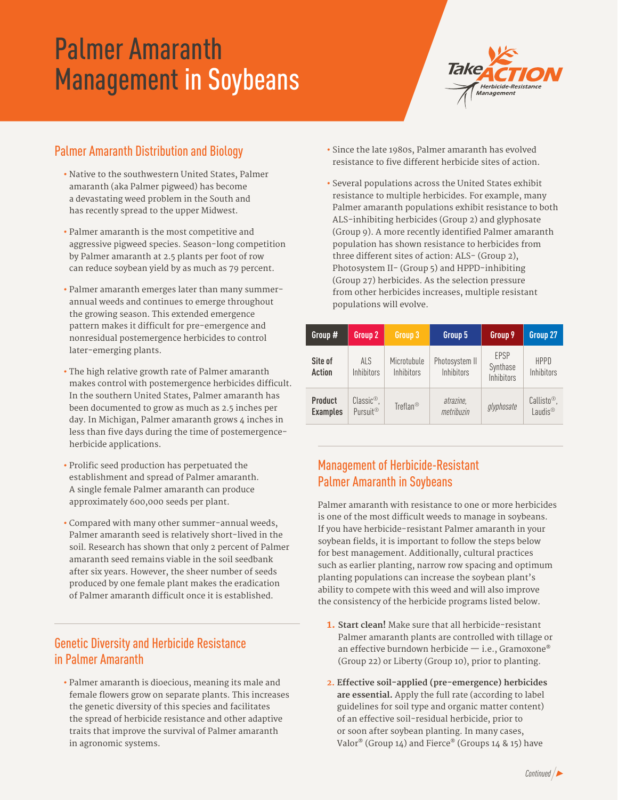# Palmer Amaranth Management in Soybeans



## Palmer Amaranth Distribution and Biology

- Native to the southwestern United States, Palmer amaranth (aka Palmer pigweed) has become a devastating weed problem in the South and has recently spread to the upper Midwest.
- Palmer amaranth is the most competitive and aggressive pigweed species. Season-long competition by Palmer amaranth at 2.5 plants per foot of row can reduce soybean yield by as much as 79 percent.
- Palmer amaranth emerges later than many summerannual weeds and continues to emerge throughout the growing season. This extended emergence pattern makes it difficult for pre-emergence and nonresidual postemergence herbicides to control later-emerging plants.
- The high relative growth rate of Palmer amaranth makes control with postemergence herbicides difficult. In the southern United States, Palmer amaranth has been documented to grow as much as 2.5 inches per day. In Michigan, Palmer amaranth grows 4 inches in less than five days during the time of postemergenceherbicide applications.
- Prolific seed production has perpetuated the establishment and spread of Palmer amaranth. A single female Palmer amaranth can produce approximately 600,000 seeds per plant.
- Compared with many other summer-annual weeds, Palmer amaranth seed is relatively short-lived in the soil. Research has shown that only 2 percent of Palmer amaranth seed remains viable in the soil seedbank after six years. However, the sheer number of seeds produced by one female plant makes the eradication of Palmer amaranth difficult once it is established.

## Genetic Diversity and Herbicide Resistance in Palmer Amaranth

**•** Palmer amaranth is dioecious, meaning its male and female flowers grow on separate plants. This increases the genetic diversity of this species and facilitates the spread of herbicide resistance and other adaptive traits that improve the survival of Palmer amaranth in agronomic systems.

- Since the late 1980s, Palmer amaranth has evolved resistance to five different herbicide sites of action.
- Several populations across the United States exhibit resistance to multiple herbicides. For example, many Palmer amaranth populations exhibit resistance to both ALS-inhibiting herbicides (Group 2) and glyphosate (Group 9). A more recently identified Palmer amaranth population has shown resistance to herbicides from three different sites of action: ALS- (Group 2), Photosystem II- (Group 5) and HPPD-inhibiting (Group 27) herbicides. As the selection pressure from other herbicides increases, multiple resistant populations will evolve.

| Group #                           | Group 2                                         | Group 3                   | Group 5                      | Group 9                        | Group 27                                        |
|-----------------------------------|-------------------------------------------------|---------------------------|------------------------------|--------------------------------|-------------------------------------------------|
| Site of<br>Action                 | <b>ALS</b><br>Inhibitors                        | Microtubule<br>Inhibitors | Photosystem II<br>Inhibitors | EPSP<br>Synthase<br>Inhibitors | <b>HPPD</b><br><b>Inhibitors</b>                |
| <b>Product</b><br><b>Examples</b> | $Classic^{\circledR}$ .<br>Pursuit <sup>®</sup> | Treflan®                  | atrazine,<br>metribuzin      | glyphosate                     | $Callisto^{\circledR}$ ,<br>Laudis <sup>®</sup> |

### Management of Herbicide-Resistant Palmer Amaranth in Soybeans

Palmer amaranth with resistance to one or more herbicides is one of the most difficult weeds to manage in soybeans. If you have herbicide-resistant Palmer amaranth in your soybean fields, it is important to follow the steps below for best management. Additionally, cultural practices such as earlier planting, narrow row spacing and optimum planting populations can increase the soybean plant's ability to compete with this weed and will also improve the consistency of the herbicide programs listed below.

- **1. Start clean!** Make sure that all herbicide-resistant Palmer amaranth plants are controlled with tillage or an effective burndown herbicide — i.e., Gramoxone® (Group 22) or Liberty (Group 10), prior to planting.
- **2. Effective soil-applied (pre-emergence) herbicides are essential.** Apply the full rate (according to label guidelines for soil type and organic matter content) of an effective soil-residual herbicide, prior to or soon after soybean planting. In many cases, Valor® (Group 14) and Fierce® (Groups 14 & 15) have